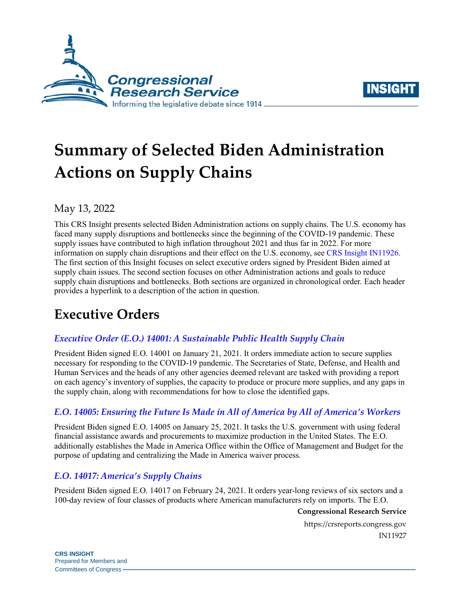



# **Summary of Selected Biden Administration Actions on Supply Chains**

# May 13, 2022

This CRS Insight presents selected Biden Administration actions on supply chains. The U.S. economy has faced many supply disruptions and bottlenecks since the beginning of the COVID-19 pandemic. These supply issues have contributed to high inflation throughout 2021 and thus far in 2022. For more information on supply chain disruptions and their effect on the U.S. economy, see [CRS Insight](https://crsreports.congress.gov/product/pdf/IN/IN11926) IN11926. The first section of this Insight focuses on select executive orders signed by President Biden aimed at supply chain issues. The second section focuses on other Administration actions and goals to reduce supply chain disruptions and bottlenecks. Both sections are organized in chronological order. Each header provides a hyperlink to a description of the action in question.

# **Executive Orders**

# *[Executive Order \(E.O.\) 14001: A Sustainable Public Health Supply Chain](https://www.federalregister.gov/documents/2021/01/26/2021-01865/a-sustainable-public-health-supply-chain)*

President Biden signed E.O. 14001 on January 21, 2021. It orders immediate action to secure supplies necessary for responding to the COVID-19 pandemic. The Secretaries of State, Defense, and Health and Human Services and the heads of any other agencies deemed relevant are tasked with providing a report on each agency's inventory of supplies, the capacity to produce or procure more supplies, and any gaps in the supply chain, along with recommendations for how to close the identified gaps.

# *E.O. [14005: Ensuring the Future Is Made in All of America by All of America's Workers](https://www.federalregister.gov/documents/2021/01/28/2021-02038/ensuring-the-future-is-made-in-all-of-america-by-all-of-americas-workers)*

President Biden signed E.O. 14005 on January 25, 2021. It tasks the U.S. government with using federal financial assistance awards and procurements to maximize production in the United States. The E.O. additionally establishes the Made in America Office within the Office of Management and Budget for the purpose of updating and centralizing the Made in America waiver process.

# *E.O. [14017: America's Supply Chains](https://www.federalregister.gov/documents/2021/03/01/2021-04280/americas-supply-chains)*

President Biden signed E.O. 14017 on February 24, 2021. It orders year-long reviews of six sectors and a 100-day review of four classes of products where American manufacturers rely on imports. The E.O.

**Congressional Research Service**

https://crsreports.congress.gov IN11927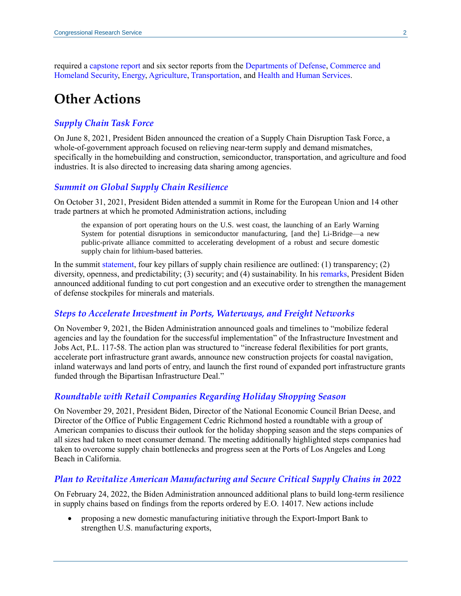required a [capstone report](https://www.whitehouse.gov/wp-content/uploads/2022/02/Capstone-Report-Biden.pdf) and six sector reports from the [Departments](https://media.defense.gov/2022/Feb/24/2002944158/-1/-1/1/DOD-EO-14017-REPORT-SECURING-DEFENSE-CRITICAL-SUPPLY-CHAINS.PDF) of Defense, [Commerce and](https://www.dhs.gov/sites/default/files/2022-02/ICT%20Supply%20Chain%20Report_0.pdf)  [Homeland Security,](https://www.dhs.gov/sites/default/files/2022-02/ICT%20Supply%20Chain%20Report_0.pdf) [Energy,](https://www.energy.gov/sites/default/files/2022-02/America%E2%80%99s%20Strategy%20to%20Secure%20the%20Supply%20Chain%20for%20a%20Robust%20Clean%20Energy%20Transition%20FINAL.docx_0.pdf) [Agriculture,](https://www.ams.usda.gov/sites/default/files/media/USDAAgriFoodSupplyChainReport.pdf) [Transportation,](https://www.transportation.gov/sites/dot.gov/files/2022-02/EO%2014017%20-%20DOT%20Sectoral%20Supply%20Chain%20Assessment%20-%20Freight%20and%20Logistics_FINAL.pdf) and [Health and Human Services.](https://aspr.hhs.gov/MCM/IBx/2022Report/Pages/default.aspx)

# **Other Actions**

#### *[Supply Chain Task Force](https://www.whitehouse.gov/briefing-room/statements-releases/2021/06/08/fact-sheet-biden-harris-administration-announces-supply-chain-disruptions-task-force-to-address-short-term-supply-chain-discontinuities/)*

On June 8, 2021, President Biden announced the creation of a Supply Chain Disruption Task Force, a whole-of-government approach focused on relieving near-term supply and demand mismatches, specifically in the homebuilding and construction, semiconductor, transportation, and agriculture and food industries. It is also directed to increasing data sharing among agencies.

#### *[Summit on Global Supply Chain Resilience](https://www.whitehouse.gov/briefing-room/statements-releases/2021/10/31/fact-sheet-summit-on-global-supply-chain-resilience-to-address-near-term-bottlenecks-and-tackle-long-term-challenges/)*

On October 31, 2021, President Biden attended a summit in Rome for the European Union and 14 other trade partners at which he promoted Administration actions, including

the expansion of port operating hours on the U.S. west coast, the launching of an Early Warning System for potential disruptions in semiconductor manufacturing, [and the] Li-Bridge—a new public-private alliance committed to accelerating development of a robust and secure domestic supply chain for lithium-based batteries.

In the summit [statement,](https://www.whitehouse.gov/briefing-room/statements-releases/2021/10/31/chairs-statement-on-principles-for-supply-chain-resilience/) four key pillars of supply chain resilience are outlined: (1) transparency; (2) diversity, openness, and predictability; (3) security; and (4) sustainability. In his [remarks,](https://www.whitehouse.gov/briefing-room/speeches-remarks/2021/10/31/remarks-by-president-biden-at-global-summit-on-supply-chain-resilience/) President Biden announced additional funding to cut port congestion and an executive order to strengthen the management of defense stockpiles for minerals and materials.

#### *[Steps to Accelerate Investment in Ports, Waterways, and Freight Networks](https://www.whitehouse.gov/briefing-room/statements-releases/2021/11/09/fact-sheet-the-biden-harris-action-plan-for-americas-ports-and-waterways/)*

On November 9, 2021, the Biden Administration announced goals and timelines to "mobilize federal agencies and lay the foundation for the successful implementation" of the Infrastructure Investment and Jobs Act, [P.L. 117-58.](http://www.congress.gov/cgi-lis/bdquery/R?d117:FLD002:@1(117+58)) The action plan was structured to "increase federal flexibilities for port grants, accelerate port infrastructure grant awards, announce new construction projects for coastal navigation, inland waterways and land ports of entry, and launch the first round of expanded port infrastructure grants funded through the Bipartisan Infrastructure Deal."

#### *[Roundtable with Retail Companies Regarding Holiday Shopping Season](https://www.whitehouse.gov/briefing-room/statements-releases/2021/11/29/president-biden-hosts-roundtable-with-leading-retailers-about-holiday-shopping-stocked-shelves-and-overcoming-supply-chain-challenges/)*

On November 29, 2021, President Biden, Director of the National Economic Council Brian Deese, and Director of the Office of Public Engagement Cedric Richmond hosted a roundtable with a group of American companies to discuss their outlook for the holiday shopping season and the steps companies of all sizes had taken to meet consumer demand. The meeting additionally highlighted steps companies had taken to overcome supply chain bottlenecks and progress seen at the Ports of Los Angeles and Long Beach in California.

#### *[Plan to Revitalize American Manufacturing and Secure Critical Supply Chains in 2022](https://www.whitehouse.gov/briefing-room/statements-releases/2022/02/24/the-biden-harris-plan-to-revitalize-american-manufacturing-and-secure-critical-supply-chains-in-2022/)*

On February 24, 2022, the Biden Administration announced additional plans to build long-term resilience in supply chains based on findings from the reports ordered by E.O. 14017. New actions include

 proposing a new domestic manufacturing initiative through the Export-Import Bank to strengthen U.S. manufacturing exports,